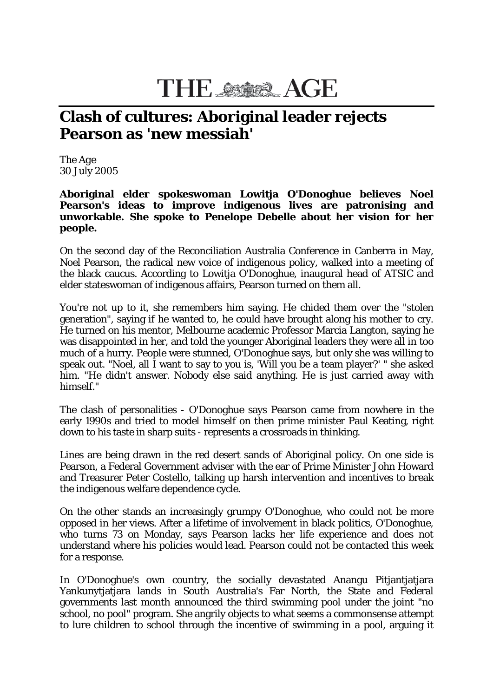## **THE SSOR AGE**

## **Clash of cultures: Aboriginal leader rejects Pearson as 'new messiah'**

The *Age* 30 July 2005

**Aboriginal elder spokeswoman Lowitja O'Donoghue believes Noel Pearson's ideas to improve indigenous lives are patronising and unworkable. She spoke to Penelope Debelle about her vision for her people.**

On the second day of the Reconciliation Australia Conference in Canberra in May, Noel Pearson, the radical new voice of indigenous policy, walked into a meeting of the black caucus. According to Lowitja O'Donoghue, inaugural head of ATSIC and elder stateswoman of indigenous affairs, Pearson turned on them all.

You're not up to it, she remembers him saying. He chided them over the "stolen generation", saying if he wanted to, he could have brought along his mother to cry. He turned on his mentor, Melbourne academic Professor Marcia Langton, saying he was disappointed in her, and told the younger Aboriginal leaders they were all in too much of a hurry. People were stunned, O'Donoghue says, but only she was willing to speak out. "Noel, all I want to say to you is, 'Will you be a team player?' " she asked him. "He didn't answer. Nobody else said anything. He is just carried away with himself."

The clash of personalities - O'Donoghue says Pearson came from nowhere in the early 1990s and tried to model himself on then prime minister Paul Keating, right down to his taste in sharp suits - represents a crossroads in thinking.

Lines are being drawn in the red desert sands of Aboriginal policy. On one side is Pearson, a Federal Government adviser with the ear of Prime Minister John Howard and Treasurer Peter Costello, talking up harsh intervention and incentives to break the indigenous welfare dependence cycle.

On the other stands an increasingly grumpy O'Donoghue, who could not be more opposed in her views. After a lifetime of involvement in black politics, O'Donoghue, who turns 73 on Monday, says Pearson lacks her life experience and does not understand where his policies would lead. Pearson could not be contacted this week for a response.

In O'Donoghue's own country, the socially devastated Anangu Pitjantjatjara Yankunytjatjara lands in South Australia's Far North, the State and Federal governments last month announced the third swimming pool under the joint "no school, no pool" program. She angrily objects to what seems a commonsense attempt to lure children to school through the incentive of swimming in a pool, arguing it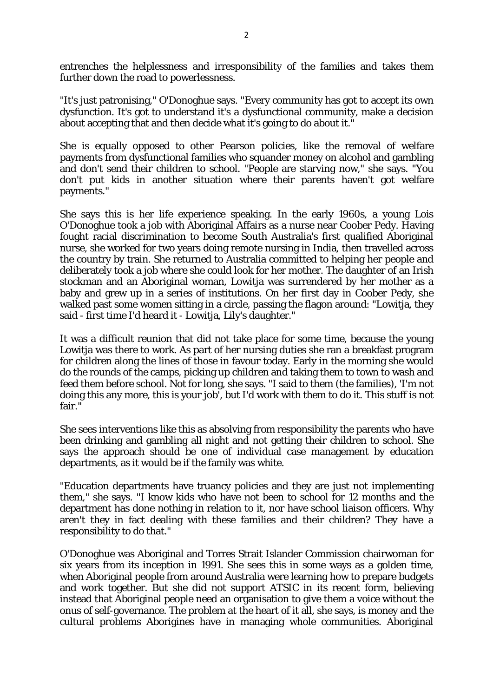entrenches the helplessness and irresponsibility of the families and takes them further down the road to powerlessness.

"It's just patronising," O'Donoghue says. "Every community has got to accept its own dysfunction. It's got to understand it's a dysfunctional community, make a decision about accepting that and then decide what it's going to do about it."

She is equally opposed to other Pearson policies, like the removal of welfare payments from dysfunctional families who squander money on alcohol and gambling and don't send their children to school. "People are starving now," she says. "You don't put kids in another situation where their parents haven't got welfare payments."

She says this is her life experience speaking. In the early 1960s, a young Lois O'Donoghue took a job with Aboriginal Affairs as a nurse near Coober Pedy. Having fought racial discrimination to become South Australia's first qualified Aboriginal nurse, she worked for two years doing remote nursing in India, then travelled across the country by train. She returned to Australia committed to helping her people and deliberately took a job where she could look for her mother. The daughter of an Irish stockman and an Aboriginal woman, Lowitja was surrendered by her mother as a baby and grew up in a series of institutions. On her first day in Coober Pedy, she walked past some women sitting in a circle, passing the flagon around: "Lowitja, they said - first time I'd heard it - Lowitja, Lily's daughter."

It was a difficult reunion that did not take place for some time, because the young Lowitja was there to work. As part of her nursing duties she ran a breakfast program for children along the lines of those in favour today. Early in the morning she would do the rounds of the camps, picking up children and taking them to town to wash and feed them before school. Not for long, she says. "I said to them (the families), 'I'm not doing this any more, this is your job', but I'd work with them to do it. This stuff is not fair."

She sees interventions like this as absolving from responsibility the parents who have been drinking and gambling all night and not getting their children to school. She says the approach should be one of individual case management by education departments, as it would be if the family was white.

"Education departments have truancy policies and they are just not implementing them," she says. "I know kids who have not been to school for 12 months and the department has done nothing in relation to it, nor have school liaison officers. Why aren't they in fact dealing with these families and their children? They have a responsibility to do that."

O'Donoghue was Aboriginal and Torres Strait Islander Commission chairwoman for six years from its inception in 1991. She sees this in some ways as a golden time, when Aboriginal people from around Australia were learning how to prepare budgets and work together. But she did not support ATSIC in its recent form, believing instead that Aboriginal people need an organisation to give them a voice without the onus of self-governance. The problem at the heart of it all, she says, is money and the cultural problems Aborigines have in managing whole communities. Aboriginal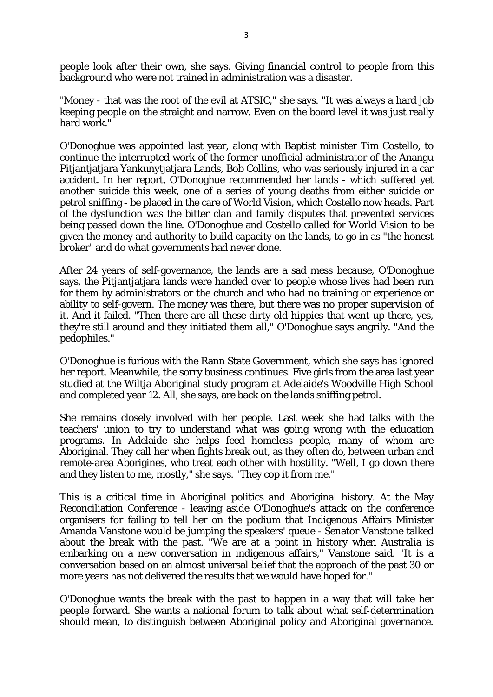people look after their own, she says. Giving financial control to people from this background who were not trained in administration was a disaster.

"Money - that was the root of the evil at ATSIC," she says. "It was always a hard job keeping people on the straight and narrow. Even on the board level it was just really hard work."

O'Donoghue was appointed last year, along with Baptist minister Tim Costello, to continue the interrupted work of the former unofficial administrator of the Anangu Pitjantjatjara Yankunytjatjara Lands, Bob Collins, who was seriously injured in a car accident. In her report, O'Donoghue recommended her lands - which suffered yet another suicide this week, one of a series of young deaths from either suicide or petrol sniffing - be placed in the care of World Vision, which Costello now heads. Part of the dysfunction was the bitter clan and family disputes that prevented services being passed down the line. O'Donoghue and Costello called for World Vision to be given the money and authority to build capacity on the lands, to go in as "the honest broker" and do what governments had never done.

After 24 years of self-governance, the lands are a sad mess because, O'Donoghue says, the Pitjantjatjara lands were handed over to people whose lives had been run for them by administrators or the church and who had no training or experience or ability to self-govern. The money was there, but there was no proper supervision of it. And it failed. "Then there are all these dirty old hippies that went up there, yes, they're still around and they initiated them all," O'Donoghue says angrily. "And the pedophiles."

O'Donoghue is furious with the Rann State Government, which she says has ignored her report. Meanwhile, the sorry business continues. Five girls from the area last year studied at the Wiltja Aboriginal study program at Adelaide's Woodville High School and completed year 12. All, she says, are back on the lands sniffing petrol.

She remains closely involved with her people. Last week she had talks with the teachers' union to try to understand what was going wrong with the education programs. In Adelaide she helps feed homeless people, many of whom are Aboriginal. They call her when fights break out, as they often do, between urban and remote-area Aborigines, who treat each other with hostility. "Well, I go down there and they listen to me, mostly," she says. "They cop it from me."

This is a critical time in Aboriginal politics and Aboriginal history. At the May Reconciliation Conference - leaving aside O'Donoghue's attack on the conference organisers for failing to tell her on the podium that Indigenous Affairs Minister Amanda Vanstone would be jumping the speakers' queue - Senator Vanstone talked about the break with the past. "We are at a point in history when Australia is embarking on a new conversation in indigenous affairs," Vanstone said. "It is a conversation based on an almost universal belief that the approach of the past 30 or more years has not delivered the results that we would have hoped for."

O'Donoghue wants the break with the past to happen in a way that will take her people forward. She wants a national forum to talk about what self-determination should mean, to distinguish between Aboriginal policy and Aboriginal governance.